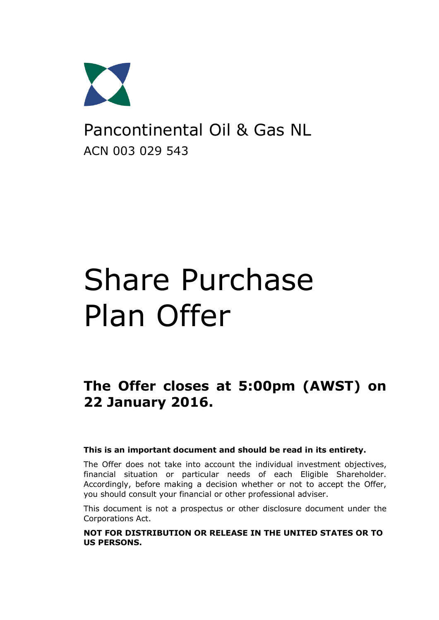

Pancontinental Oil & Gas NL ACN 003 029 543

# Share Purchase Plan Offer

**The Offer closes at 5:00pm (AWST) on 22 January 2016.**

#### **This is an important document and should be read in its entirety.**

The Offer does not take into account the individual investment objectives, financial situation or particular needs of each Eligible Shareholder. Accordingly, before making a decision whether or not to accept the Offer, you should consult your financial or other professional adviser.

This document is not a prospectus or other disclosure document under the Corporations Act.

**NOT FOR DISTRIBUTION OR RELEASE IN THE UNITED STATES OR TO US PERSONS.**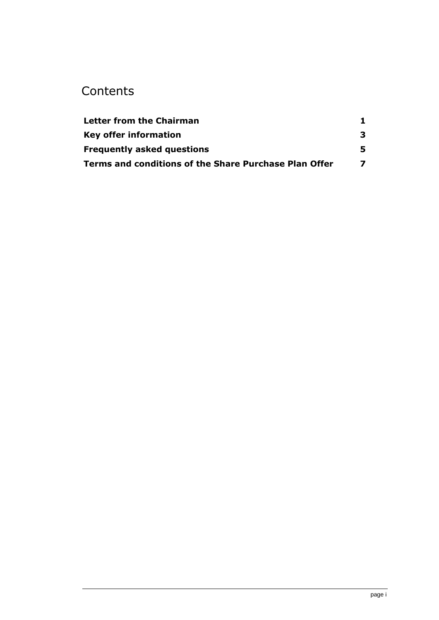### **Contents**

| Letter from the Chairman                                     |   |
|--------------------------------------------------------------|---|
| <b>Key offer information</b>                                 | з |
| <b>Frequently asked questions</b>                            | 5 |
| <b>Terms and conditions of the Share Purchase Plan Offer</b> |   |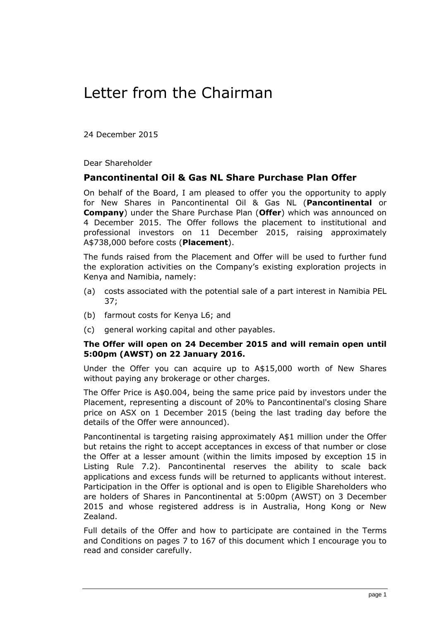# <span id="page-2-0"></span>Letter from the Chairman

24 December 2015

Dear Shareholder

#### **Pancontinental Oil & Gas NL Share Purchase Plan Offer**

On behalf of the Board, I am pleased to offer you the opportunity to apply for New Shares in Pancontinental Oil & Gas NL (**Pancontinental** or **Company**) under the Share Purchase Plan (**Offer**) which was announced on 4 December 2015. The Offer follows the placement to institutional and professional investors on 11 December 2015, raising approximately A\$738,000 before costs (**Placement**).

The funds raised from the Placement and Offer will be used to further fund the exploration activities on the Company's existing exploration projects in Kenya and Namibia, namely:

- (a) costs associated with the potential sale of a part interest in Namibia PEL 37;
- (b) farmout costs for Kenya L6; and
- (c) general working capital and other payables.

#### **The Offer will open on 24 December 2015 and will remain open until 5:00pm (AWST) on 22 January 2016.**

Under the Offer you can acquire up to A\$15,000 worth of New Shares without paying any brokerage or other charges.

The Offer Price is A\$0.004, being the same price paid by investors under the Placement, representing a discount of 20% to Pancontinental's closing Share price on ASX on 1 December 2015 (being the last trading day before the details of the Offer were announced).

Pancontinental is targeting raising approximately A\$1 million under the Offer but retains the right to accept acceptances in excess of that number or close the Offer at a lesser amount (within the limits imposed by exception 15 in Listing Rule 7.2). Pancontinental reserves the ability to scale back applications and excess funds will be returned to applicants without interest. Participation in the Offer is optional and is open to Eligible Shareholders who are holders of Shares in Pancontinental at 5:00pm (AWST) on 3 December 2015 and whose registered address is in Australia, Hong Kong or New Zealand.

Full details of the Offer and how to participate are contained in the Terms and Conditions on pages [7](#page-8-1) to [167](#page-17-0) of this document which I encourage you to read and consider carefully.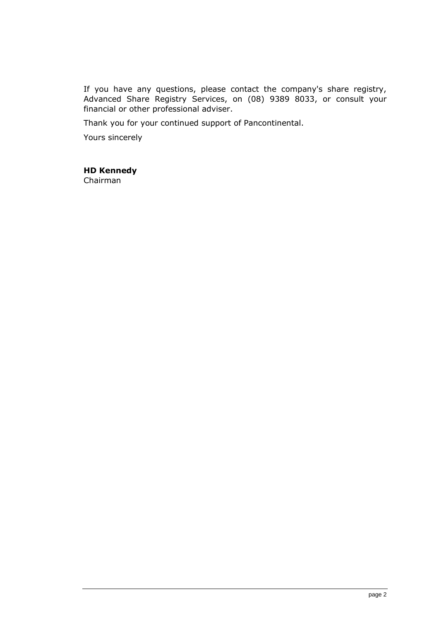If you have any questions, please contact the company's share registry, Advanced Share Registry Services, on (08) 9389 8033, or consult your financial or other professional adviser.

Thank you for your continued support of Pancontinental.

Yours sincerely

#### **HD Kennedy**

Chairman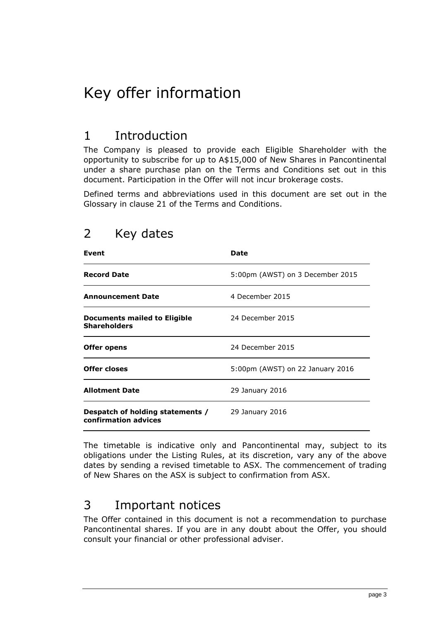# <span id="page-4-0"></span>Key offer information

### 1 Introduction

The Company is pleased to provide each Eligible Shareholder with the opportunity to subscribe for up to A\$15,000 of New Shares in Pancontinental under a share purchase plan on the Terms and Conditions set out in this document. Participation in the Offer will not incur brokerage costs.

Defined terms and abbreviations used in this document are set out in the Glossary in clause [21](#page-17-1) of the Terms and Conditions.

| Event                                                    | Date                             |
|----------------------------------------------------------|----------------------------------|
| <b>Record Date</b>                                       | 5:00pm (AWST) on 3 December 2015 |
| <b>Announcement Date</b>                                 | 4 December 2015                  |
| Documents mailed to Eligible<br><b>Shareholders</b>      | 24 December 2015                 |
| Offer opens                                              | 24 December 2015                 |
| <b>Offer closes</b>                                      | 5:00pm (AWST) on 22 January 2016 |
| <b>Allotment Date</b>                                    | 29 January 2016                  |
| Despatch of holding statements /<br>confirmation advices | 29 January 2016                  |

### 2 Key dates

The timetable is indicative only and Pancontinental may, subject to its obligations under the Listing Rules, at its discretion, vary any of the above dates by sending a revised timetable to ASX. The commencement of trading of New Shares on the ASX is subject to confirmation from ASX.

### 3 Important notices

The Offer contained in this document is not a recommendation to purchase Pancontinental shares. If you are in any doubt about the Offer, you should consult your financial or other professional adviser.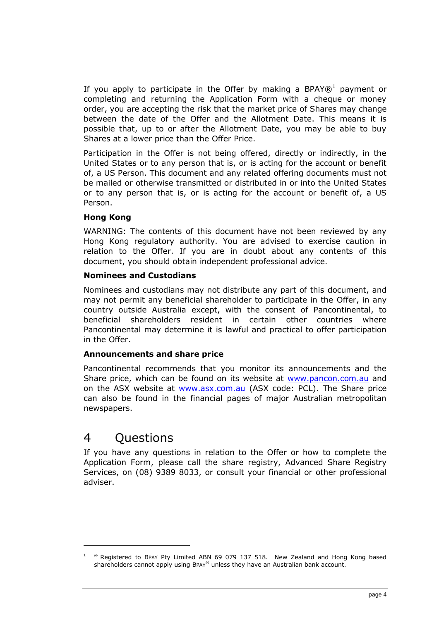If you apply to participate in the Offer by making a BPAY $\otimes^1$  payment or completing and returning the Application Form with a cheque or money order, you are accepting the risk that the market price of Shares may change between the date of the Offer and the Allotment Date. This means it is possible that, up to or after the Allotment Date, you may be able to buy Shares at a lower price than the Offer Price.

Participation in the Offer is not being offered, directly or indirectly, in the United States or to any person that is, or is acting for the account or benefit of, a US Person. This document and any related offering documents must not be mailed or otherwise transmitted or distributed in or into the United States or to any person that is, or is acting for the account or benefit of, a US Person.

#### **Hong Kong**

WARNING: The contents of this document have not been reviewed by any Hong Kong regulatory authority. You are advised to exercise caution in relation to the Offer. If you are in doubt about any contents of this document, you should obtain independent professional advice.

#### **Nominees and Custodians**

Nominees and custodians may not distribute any part of this document, and may not permit any beneficial shareholder to participate in the Offer, in any country outside Australia except, with the consent of Pancontinental, to beneficial shareholders resident in certain other countries where Pancontinental may determine it is lawful and practical to offer participation in the Offer.

#### **Announcements and share price**

Pancontinental recommends that you monitor its announcements and the Share price, which can be found on its website at [www.pancon.com.au](http://www.pancon.com.au/) and on the ASX website at [www.asx.com.au](http://www.asx.com.au/) (ASX code: PCL). The Share price can also be found in the financial pages of major Australian metropolitan newspapers.

### 4 Questions

If you have any questions in relation to the Offer or how to complete the Application Form, please call the share registry, Advanced Share Registry Services, on (08) 9389 8033, or consult your financial or other professional adviser.

 $\textdegree$  Registered to BPAY Pty Limited ABN 69 079 137 518. New Zealand and Hong Kong based shareholders cannot apply using BPAY® unless they have an Australian bank account.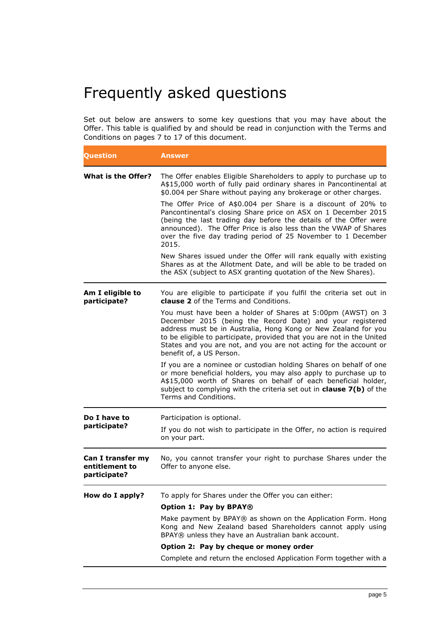# <span id="page-6-0"></span>Frequently asked questions

Set out below are answers to some key questions that you may have about the Offer. This table is qualified by and should be read in conjunction with the Terms and Conditions on pages [7](#page-8-1) to 17 of this document.

| Question                                            | Answer                                                                                                                                                                                                                                                                                                                                                                |
|-----------------------------------------------------|-----------------------------------------------------------------------------------------------------------------------------------------------------------------------------------------------------------------------------------------------------------------------------------------------------------------------------------------------------------------------|
| What is the Offer?                                  | The Offer enables Eligible Shareholders to apply to purchase up to<br>A\$15,000 worth of fully paid ordinary shares in Pancontinental at<br>\$0.004 per Share without paying any brokerage or other charges.                                                                                                                                                          |
|                                                     | The Offer Price of A\$0.004 per Share is a discount of 20% to<br>Pancontinental's closing Share price on ASX on 1 December 2015<br>(being the last trading day before the details of the Offer were<br>announced). The Offer Price is also less than the VWAP of Shares<br>over the five day trading period of 25 November to 1 December<br>2015.                     |
|                                                     | New Shares issued under the Offer will rank equally with existing<br>Shares as at the Allotment Date, and will be able to be traded on<br>the ASX (subject to ASX granting quotation of the New Shares).                                                                                                                                                              |
| Am I eligible to<br>participate?                    | You are eligible to participate if you fulfil the criteria set out in<br><b>clause 2</b> of the Terms and Conditions.                                                                                                                                                                                                                                                 |
|                                                     | You must have been a holder of Shares at 5:00pm (AWST) on 3<br>December 2015 (being the Record Date) and your registered<br>address must be in Australia, Hong Kong or New Zealand for you<br>to be eligible to participate, provided that you are not in the United<br>States and you are not, and you are not acting for the account or<br>benefit of, a US Person. |
|                                                     | If you are a nominee or custodian holding Shares on behalf of one<br>or more beneficial holders, you may also apply to purchase up to<br>A\$15,000 worth of Shares on behalf of each beneficial holder,<br>subject to complying with the criteria set out in <b>clause <math>7(b)</math></b> of the<br>Terms and Conditions.                                          |
| Do I have to                                        | Participation is optional.                                                                                                                                                                                                                                                                                                                                            |
| participate?                                        | If you do not wish to participate in the Offer, no action is required<br>on your part.                                                                                                                                                                                                                                                                                |
| Can I transfer my<br>entitlement to<br>participate? | No, you cannot transfer your right to purchase Shares under the<br>Offer to anyone else.                                                                                                                                                                                                                                                                              |
| How do I apply?                                     | To apply for Shares under the Offer you can either:                                                                                                                                                                                                                                                                                                                   |
|                                                     | Option 1: Pay by BPAY®                                                                                                                                                                                                                                                                                                                                                |
|                                                     | Make payment by BPAY® as shown on the Application Form. Hong<br>Kong and New Zealand based Shareholders cannot apply using<br>BPAY® unless they have an Australian bank account.                                                                                                                                                                                      |
|                                                     | Option 2: Pay by cheque or money order                                                                                                                                                                                                                                                                                                                                |
|                                                     | Complete and return the enclosed Application Form together with a                                                                                                                                                                                                                                                                                                     |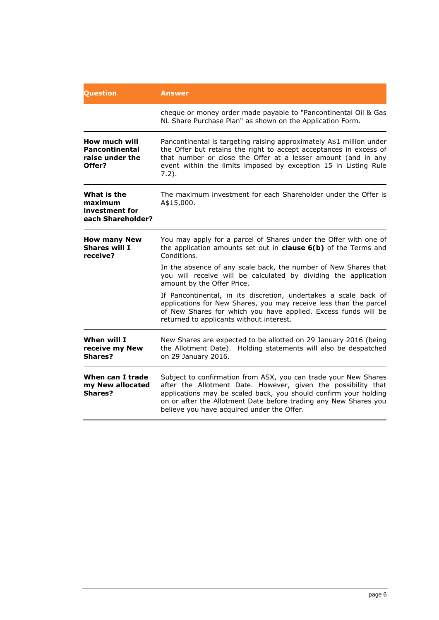| Question                                                      | <b>Answer</b>                                                                                                                                                                                                                                                                                                          |  |  |  |
|---------------------------------------------------------------|------------------------------------------------------------------------------------------------------------------------------------------------------------------------------------------------------------------------------------------------------------------------------------------------------------------------|--|--|--|
|                                                               | cheque or money order made payable to "Pancontinental Oil & Gas<br>NL Share Purchase Plan" as shown on the Application Form.                                                                                                                                                                                           |  |  |  |
| How much will<br>Pancontinental<br>raise under the<br>Offer?  | Pancontinental is targeting raising approximately A\$1 million under<br>the Offer but retains the right to accept acceptances in excess of<br>that number or close the Offer at a lesser amount (and in any<br>event within the limits imposed by exception 15 in Listing Rule<br>$7.2$ ).                             |  |  |  |
| What is the<br>maximum<br>investment for<br>each Shareholder? | The maximum investment for each Shareholder under the Offer is<br>A\$15,000.                                                                                                                                                                                                                                           |  |  |  |
| <b>How many New</b><br><b>Shares will I</b><br>receive?       | You may apply for a parcel of Shares under the Offer with one of<br>the application amounts set out in <b>clause <math>6(b)</math></b> of the Terms and<br>Conditions.                                                                                                                                                 |  |  |  |
|                                                               | In the absence of any scale back, the number of New Shares that<br>you will receive will be calculated by dividing the application<br>amount by the Offer Price.                                                                                                                                                       |  |  |  |
|                                                               | If Pancontinental, in its discretion, undertakes a scale back of<br>applications for New Shares, you may receive less than the parcel<br>of New Shares for which you have applied. Excess funds will be<br>returned to applicants without interest.                                                                    |  |  |  |
| When will I<br>receive my New<br>Shares?                      | New Shares are expected to be allotted on 29 January 2016 (being<br>the Allotment Date). Holding statements will also be despatched<br>on 29 January 2016.                                                                                                                                                             |  |  |  |
| When can I trade<br>my New allocated<br><b>Shares?</b>        | Subject to confirmation from ASX, you can trade your New Shares<br>after the Allotment Date. However, given the possibility that<br>applications may be scaled back, you should confirm your holding<br>on or after the Allotment Date before trading any New Shares you<br>believe you have acquired under the Offer. |  |  |  |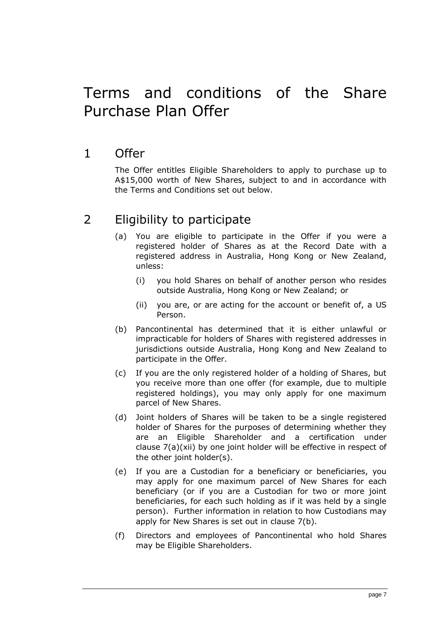# <span id="page-8-0"></span>Terms and conditions of the Share Purchase Plan Offer

### <span id="page-8-1"></span>1 Offer

The Offer entitles Eligible Shareholders to apply to purchase up to A\$15,000 worth of New Shares, subject to and in accordance with the Terms and Conditions set out below.

### <span id="page-8-2"></span>2 Eligibility to participate

- (a) You are eligible to participate in the Offer if you were a registered holder of Shares as at the Record Date with a registered address in Australia, Hong Kong or New Zealand, unless:
	- (i) you hold Shares on behalf of another person who resides outside Australia, Hong Kong or New Zealand; or
	- (ii) you are, or are acting for the account or benefit of, a US Person.
- (b) Pancontinental has determined that it is either unlawful or impracticable for holders of Shares with registered addresses in jurisdictions outside Australia, Hong Kong and New Zealand to participate in the Offer.
- <span id="page-8-3"></span>(c) If you are the only registered holder of a holding of Shares, but you receive more than one offer (for example, due to multiple registered holdings), you may only apply for one maximum parcel of New Shares.
- (d) Joint holders of Shares will be taken to be a single registered holder of Shares for the purposes of determining whether they are an Eligible Shareholder and a certification under clause [7\(a\)](#page-11-0)[\(xii\)](#page-12-1) by one joint holder will be effective in respect of the other joint holder(s).
- (e) If you are a Custodian for a beneficiary or beneficiaries, you may apply for one maximum parcel of New Shares for each beneficiary (or if you are a Custodian for two or more joint beneficiaries, for each such holding as if it was held by a single person). Further information in relation to how Custodians may apply for New Shares is set out in clause [7\(b\).](#page-12-0)
- (f) Directors and employees of Pancontinental who hold Shares may be Eligible Shareholders.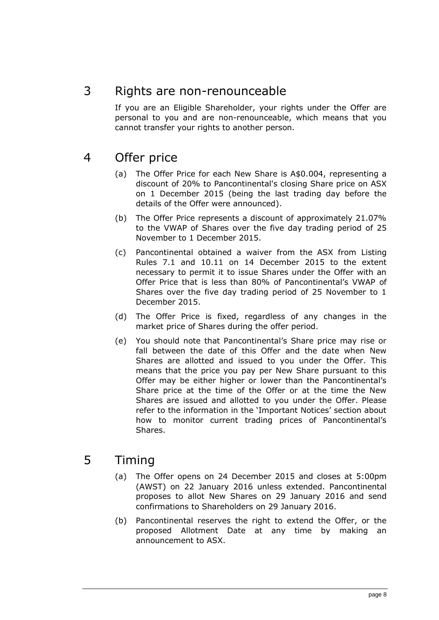### 3 Rights are non-renounceable

If you are an Eligible Shareholder, your rights under the Offer are personal to you and are non-renounceable, which means that you cannot transfer your rights to another person.

### 4 Offer price

- (a) The Offer Price for each New Share is A\$0.004, representing a discount of 20% to Pancontinental's closing Share price on ASX on 1 December 2015 (being the last trading day before the details of the Offer were announced).
- (b) The Offer Price represents a discount of approximately 21.07% to the VWAP of Shares over the five day trading period of 25 November to 1 December 2015.
- (c) Pancontinental obtained a waiver from the ASX from Listing Rules 7.1 and 10.11 on 14 December 2015 to the extent necessary to permit it to issue Shares under the Offer with an Offer Price that is less than 80% of Pancontinental's VWAP of Shares over the five day trading period of 25 November to 1 December 2015.
- (d) The Offer Price is fixed, regardless of any changes in the market price of Shares during the offer period.
- (e) You should note that Pancontinental's Share price may rise or fall between the date of this Offer and the date when New Shares are allotted and issued to you under the Offer. This means that the price you pay per New Share pursuant to this Offer may be either higher or lower than the Pancontinental's Share price at the time of the Offer or at the time the New Shares are issued and allotted to you under the Offer. Please refer to the information in the 'Important Notices' section about how to monitor current trading prices of Pancontinental's Shares.

### 5 Timing

- (a) The Offer opens on 24 December 2015 and closes at 5:00pm (AWST) on 22 January 2016 unless extended. Pancontinental proposes to allot New Shares on 29 January 2016 and send confirmations to Shareholders on 29 January 2016.
- (b) Pancontinental reserves the right to extend the Offer, or the proposed Allotment Date at any time by making an announcement to ASX.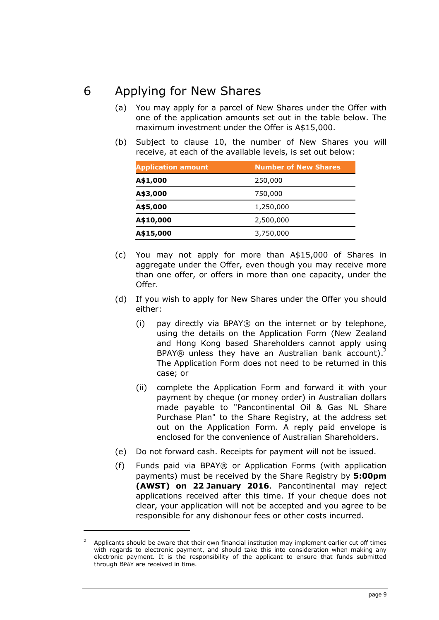### 6 Applying for New Shares

- (a) You may apply for a parcel of New Shares under the Offer with one of the application amounts set out in the table below. The maximum investment under the Offer is A\$15,000.
- <span id="page-10-0"></span>(b) Subject to clause [10,](#page-14-0) the number of New Shares you will receive, at each of the available levels, is set out below:

| <b>Application amount</b> | <b>Number of New Shares</b> |  |  |
|---------------------------|-----------------------------|--|--|
| A\$1,000                  | 250,000                     |  |  |
| A\$3,000                  | 750,000                     |  |  |
| A\$5,000                  | 1,250,000                   |  |  |
| A\$10,000                 | 2,500,000                   |  |  |
| A\$15,000                 | 3,750,000                   |  |  |

- (c) You may not apply for more than A\$15,000 of Shares in aggregate under the Offer, even though you may receive more than one offer, or offers in more than one capacity, under the Offer.
- (d) If you wish to apply for New Shares under the Offer you should either:
	- (i) pay directly via BPAY® on the internet or by telephone, using the details on the Application Form (New Zealand and Hong Kong based Shareholders cannot apply using BPAY® unless they have an Australian bank account).<sup>2</sup> The Application Form does not need to be returned in this case; or
	- (ii) complete the Application Form and forward it with your payment by cheque (or money order) in Australian dollars made payable to "Pancontinental Oil & Gas NL Share Purchase Plan" to the Share Registry, at the address set out on the Application Form. A reply paid envelope is enclosed for the convenience of Australian Shareholders.
- (e) Do not forward cash. Receipts for payment will not be issued.
- (f) Funds paid via BPAY® or Application Forms (with application payments) must be received by the Share Registry by **5:00pm (AWST) on 22 January 2016**. Pancontinental may reject applications received after this time. If your cheque does not clear, your application will not be accepted and you agree to be responsible for any dishonour fees or other costs incurred.

 $\overline{a}$ 

page 9

Applicants should be aware that their own financial institution may implement earlier cut off times with regards to electronic payment, and should take this into consideration when making any electronic payment. It is the responsibility of the applicant to ensure that funds submitted through BPAY are received in time.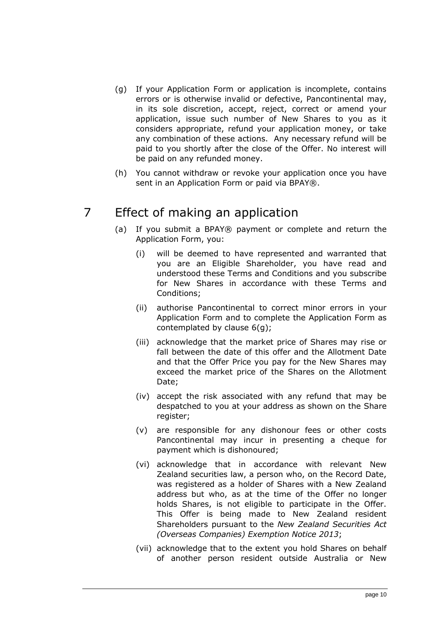- <span id="page-11-1"></span>(g) If your Application Form or application is incomplete, contains errors or is otherwise invalid or defective, Pancontinental may, in its sole discretion, accept, reject, correct or amend your application, issue such number of New Shares to you as it considers appropriate, refund your application money, or take any combination of these actions. Any necessary refund will be paid to you shortly after the close of the Offer. No interest will be paid on any refunded money.
- (h) You cannot withdraw or revoke your application once you have sent in an Application Form or paid via BPAY®.

### <span id="page-11-0"></span>7 Effect of making an application

- (a) If you submit a BPAY® payment or complete and return the Application Form, you:
	- (i) will be deemed to have represented and warranted that you are an Eligible Shareholder, you have read and understood these Terms and Conditions and you subscribe for New Shares in accordance with these Terms and Conditions;
	- (ii) authorise Pancontinental to correct minor errors in your Application Form and to complete the Application Form as contemplated by clause [6\(g\);](#page-11-1)
	- (iii) acknowledge that the market price of Shares may rise or fall between the date of this offer and the Allotment Date and that the Offer Price you pay for the New Shares may exceed the market price of the Shares on the Allotment Date;
	- (iv) accept the risk associated with any refund that may be despatched to you at your address as shown on the Share register;
	- (v) are responsible for any dishonour fees or other costs Pancontinental may incur in presenting a cheque for payment which is dishonoured;
	- (vi) acknowledge that in accordance with relevant New Zealand securities law, a person who, on the Record Date, was registered as a holder of Shares with a New Zealand address but who, as at the time of the Offer no longer holds Shares, is not eligible to participate in the Offer. This Offer is being made to New Zealand resident Shareholders pursuant to the *New Zealand Securities Act (Overseas Companies) Exemption Notice 2013*;
	- (vii) acknowledge that to the extent you hold Shares on behalf of another person resident outside Australia or New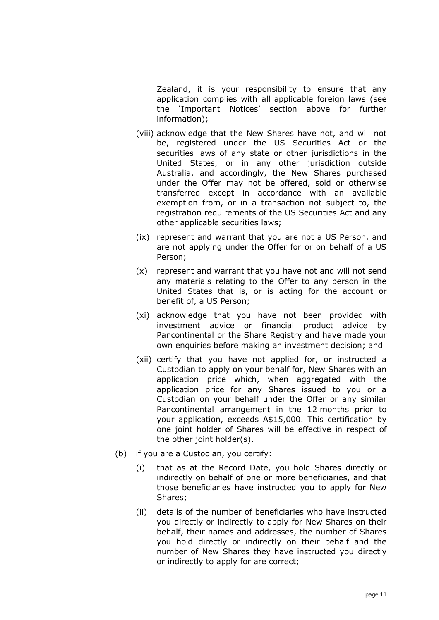Zealand, it is your responsibility to ensure that any application complies with all applicable foreign laws (see the 'Important Notices' section above for further information);

- (viii) acknowledge that the New Shares have not, and will not be, registered under the US Securities Act or the securities laws of any state or other jurisdictions in the United States, or in any other jurisdiction outside Australia, and accordingly, the New Shares purchased under the Offer may not be offered, sold or otherwise transferred except in accordance with an available exemption from, or in a transaction not subject to, the registration requirements of the US Securities Act and any other applicable securities laws;
- (ix) represent and warrant that you are not a US Person, and are not applying under the Offer for or on behalf of a US Person;
- (x) represent and warrant that you have not and will not send any materials relating to the Offer to any person in the United States that is, or is acting for the account or benefit of, a US Person;
- (xi) acknowledge that you have not been provided with investment advice or financial product advice by Pancontinental or the Share Registry and have made your own enquiries before making an investment decision; and
- <span id="page-12-1"></span>(xii) certify that you have not applied for, or instructed a Custodian to apply on your behalf for, New Shares with an application price which, when aggregated with the application price for any Shares issued to you or a Custodian on your behalf under the Offer or any similar Pancontinental arrangement in the 12 months prior to your application, exceeds A\$15,000. This certification by one joint holder of Shares will be effective in respect of the other joint holder(s).
- <span id="page-12-0"></span>(b) if you are a Custodian, you certify:
	- (i) that as at the Record Date, you hold Shares directly or indirectly on behalf of one or more beneficiaries, and that those beneficiaries have instructed you to apply for New Shares;
	- (ii) details of the number of beneficiaries who have instructed you directly or indirectly to apply for New Shares on their behalf, their names and addresses, the number of Shares you hold directly or indirectly on their behalf and the number of New Shares they have instructed you directly or indirectly to apply for are correct;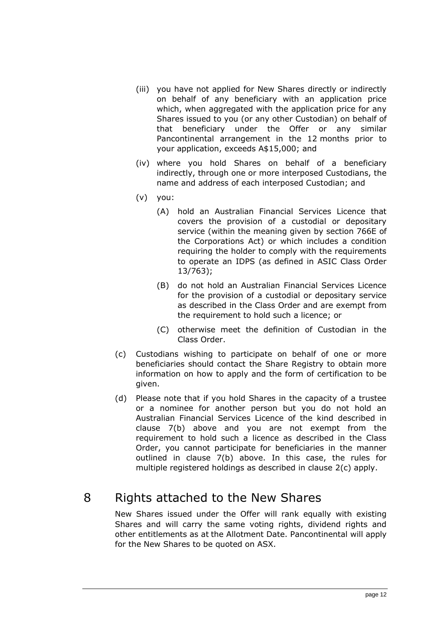- (iii) you have not applied for New Shares directly or indirectly on behalf of any beneficiary with an application price which, when aggregated with the application price for any Shares issued to you (or any other Custodian) on behalf of that beneficiary under the Offer or any similar Pancontinental arrangement in the 12 months prior to your application, exceeds A\$15,000; and
- (iv) where you hold Shares on behalf of a beneficiary indirectly, through one or more interposed Custodians, the name and address of each interposed Custodian; and
- (v) you:
	- (A) hold an Australian Financial Services Licence that covers the provision of a custodial or depositary service (within the meaning given by section 766E of the Corporations Act) or which includes a condition requiring the holder to comply with the requirements to operate an IDPS (as defined in ASIC Class Order 13/763);
	- (B) do not hold an Australian Financial Services Licence for the provision of a custodial or depositary service as described in the Class Order and are exempt from the requirement to hold such a licence; or
	- (C) otherwise meet the definition of Custodian in the Class Order.
- <span id="page-13-0"></span>(c) Custodians wishing to participate on behalf of one or more beneficiaries should contact the Share Registry to obtain more information on how to apply and the form of certification to be given.
- (d) Please note that if you hold Shares in the capacity of a trustee or a nominee for another person but you do not hold an Australian Financial Services Licence of the kind described in clause [7\(b\)](#page-11-0) above and you are not exempt from the requirement to hold such a licence as described in the Class Order, you cannot participate for beneficiaries in the manner outlined in clause [7\(b\)](#page-11-0) above. In this case, the rules for multiple registered holdings as described in clause [2\(c\)](#page-8-3) apply.

8 Rights attached to the New Shares

#### New Shares issued under the Offer will rank equally with existing Shares and will carry the same voting rights, dividend rights and other entitlements as at the Allotment Date. Pancontinental will apply for the New Shares to be quoted on ASX.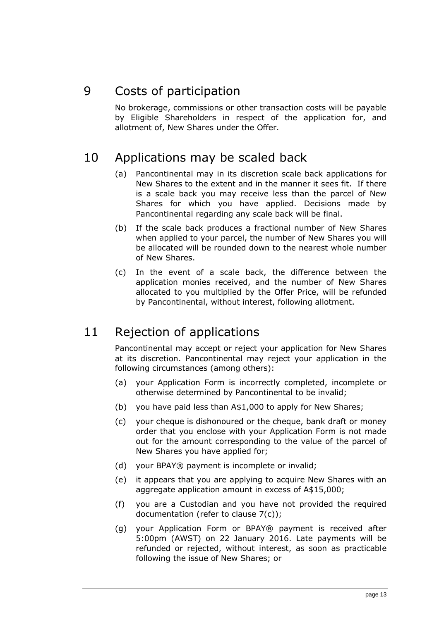### 9 Costs of participation

No brokerage, commissions or other transaction costs will be payable by Eligible Shareholders in respect of the application for, and allotment of, New Shares under the Offer.

### <span id="page-14-0"></span>10 Applications may be scaled back

- (a) Pancontinental may in its discretion scale back applications for New Shares to the extent and in the manner it sees fit. If there is a scale back you may receive less than the parcel of New Shares for which you have applied. Decisions made by Pancontinental regarding any scale back will be final.
- (b) If the scale back produces a fractional number of New Shares when applied to your parcel, the number of New Shares you will be allocated will be rounded down to the nearest whole number of New Shares.
- (c) In the event of a scale back, the difference between the application monies received, and the number of New Shares allocated to you multiplied by the Offer Price, will be refunded by Pancontinental, without interest, following allotment.

### 11 Rejection of applications

Pancontinental may accept or reject your application for New Shares at its discretion. Pancontinental may reject your application in the following circumstances (among others):

- (a) your Application Form is incorrectly completed, incomplete or otherwise determined by Pancontinental to be invalid;
- (b) you have paid less than A\$1,000 to apply for New Shares;
- (c) your cheque is dishonoured or the cheque, bank draft or money order that you enclose with your Application Form is not made out for the amount corresponding to the value of the parcel of New Shares you have applied for;
- (d) your BPAY® payment is incomplete or invalid;
- (e) it appears that you are applying to acquire New Shares with an aggregate application amount in excess of A\$15,000;
- (f) you are a Custodian and you have not provided the required documentation (refer to clause [7\(c\)\)](#page-13-0);
- (g) your Application Form or BPAY® payment is received after 5:00pm (AWST) on 22 January 2016. Late payments will be refunded or rejected, without interest, as soon as practicable following the issue of New Shares; or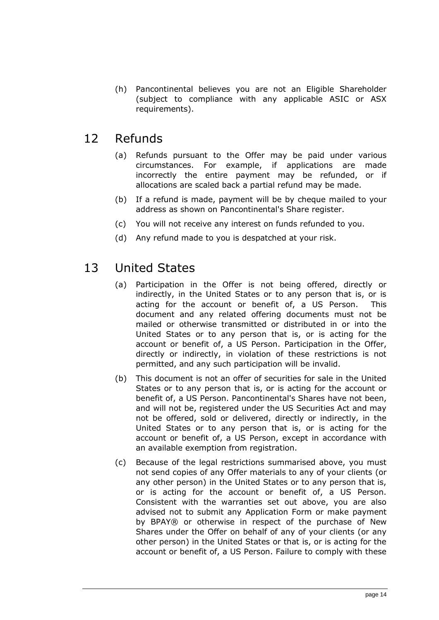(h) Pancontinental believes you are not an Eligible Shareholder (subject to compliance with any applicable ASIC or ASX requirements).

### 12 Refunds

- (a) Refunds pursuant to the Offer may be paid under various circumstances. For example, if applications are made incorrectly the entire payment may be refunded, or if allocations are scaled back a partial refund may be made.
- (b) If a refund is made, payment will be by cheque mailed to your address as shown on Pancontinental's Share register.
- (c) You will not receive any interest on funds refunded to you.
- (d) Any refund made to you is despatched at your risk.

### 13 United States

- (a) Participation in the Offer is not being offered, directly or indirectly, in the United States or to any person that is, or is acting for the account or benefit of, a US Person. This document and any related offering documents must not be mailed or otherwise transmitted or distributed in or into the United States or to any person that is, or is acting for the account or benefit of, a US Person. Participation in the Offer, directly or indirectly, in violation of these restrictions is not permitted, and any such participation will be invalid.
- (b) This document is not an offer of securities for sale in the United States or to any person that is, or is acting for the account or benefit of, a US Person. Pancontinental's Shares have not been, and will not be, registered under the US Securities Act and may not be offered, sold or delivered, directly or indirectly, in the United States or to any person that is, or is acting for the account or benefit of, a US Person, except in accordance with an available exemption from registration.
- (c) Because of the legal restrictions summarised above, you must not send copies of any Offer materials to any of your clients (or any other person) in the United States or to any person that is, or is acting for the account or benefit of, a US Person. Consistent with the warranties set out above, you are also advised not to submit any Application Form or make payment by BPAY® or otherwise in respect of the purchase of New Shares under the Offer on behalf of any of your clients (or any other person) in the United States or that is, or is acting for the account or benefit of, a US Person. Failure to comply with these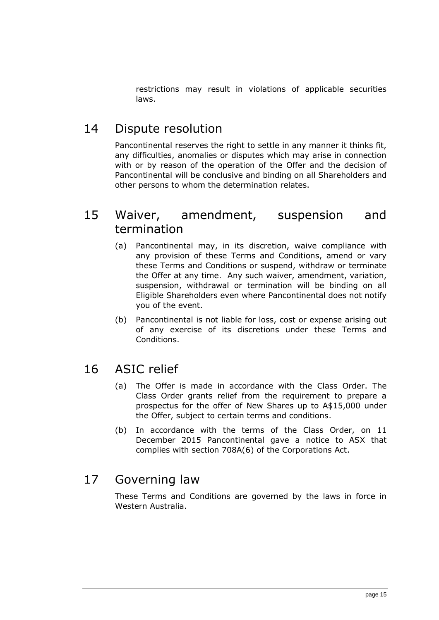restrictions may result in violations of applicable securities laws.

### 14 Dispute resolution

Pancontinental reserves the right to settle in any manner it thinks fit, any difficulties, anomalies or disputes which may arise in connection with or by reason of the operation of the Offer and the decision of Pancontinental will be conclusive and binding on all Shareholders and other persons to whom the determination relates.

#### 15 Waiver, amendment, suspension and termination

- (a) Pancontinental may, in its discretion, waive compliance with any provision of these Terms and Conditions, amend or vary these Terms and Conditions or suspend, withdraw or terminate the Offer at any time. Any such waiver, amendment, variation, suspension, withdrawal or termination will be binding on all Eligible Shareholders even where Pancontinental does not notify you of the event.
- (b) Pancontinental is not liable for loss, cost or expense arising out of any exercise of its discretions under these Terms and Conditions.

### 16 ASIC relief

- (a) The Offer is made in accordance with the Class Order. The Class Order grants relief from the requirement to prepare a prospectus for the offer of New Shares up to A\$15,000 under the Offer, subject to certain terms and conditions.
- (b) In accordance with the terms of the Class Order, on 11 December 2015 Pancontinental gave a notice to ASX that complies with section 708A(6) of the Corporations Act.

### 17 Governing law

These Terms and Conditions are governed by the laws in force in Western Australia.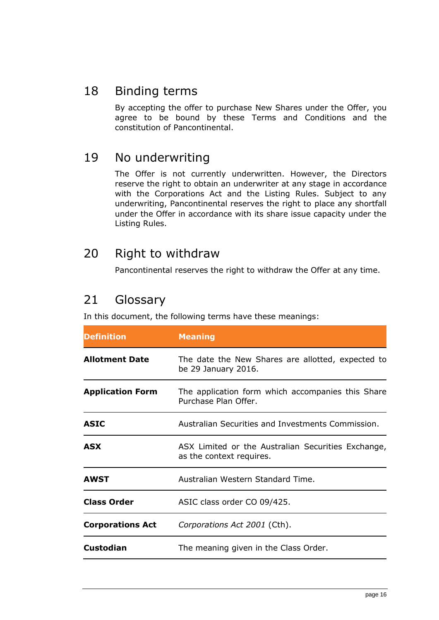### 18 Binding terms

By accepting the offer to purchase New Shares under the Offer, you agree to be bound by these Terms and Conditions and the constitution of Pancontinental.

### <span id="page-17-0"></span>19 No underwriting

The Offer is not currently underwritten. However, the Directors reserve the right to obtain an underwriter at any stage in accordance with the Corporations Act and the Listing Rules. Subject to any underwriting, Pancontinental reserves the right to place any shortfall under the Offer in accordance with its share issue capacity under the Listing Rules.

#### 20 Right to withdraw

Pancontinental reserves the right to withdraw the Offer at any time.

### <span id="page-17-1"></span>21 Glossary

In this document, the following terms have these meanings:

| <b>Definition</b>       | <b>Meaning</b>                                                                 |  |  |
|-------------------------|--------------------------------------------------------------------------------|--|--|
| <b>Allotment Date</b>   | The date the New Shares are allotted, expected to<br>be 29 January 2016.       |  |  |
| <b>Application Form</b> | The application form which accompanies this Share<br>Purchase Plan Offer.      |  |  |
| <b>ASIC</b>             | Australian Securities and Investments Commission.                              |  |  |
| <b>ASX</b>              | ASX Limited or the Australian Securities Exchange,<br>as the context requires. |  |  |
| <b>AWST</b>             | Australian Western Standard Time.                                              |  |  |
| <b>Class Order</b>      | ASIC class order CO 09/425.                                                    |  |  |
| <b>Corporations Act</b> | Corporations Act 2001 (Cth).                                                   |  |  |
| <b>Custodian</b>        | The meaning given in the Class Order.                                          |  |  |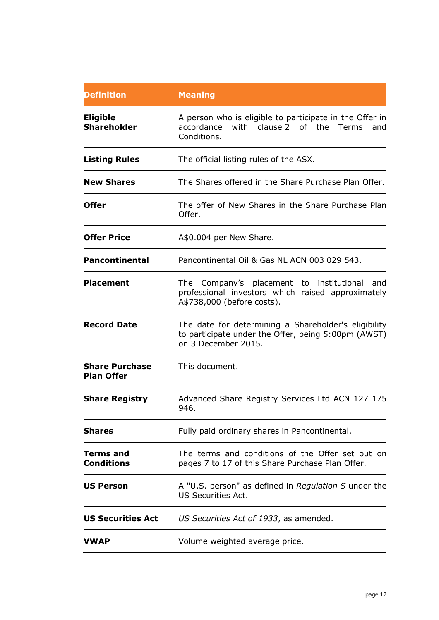| <b>Definition</b>                          | <b>Meaning</b>                                                                                                                     |  |  |  |  |
|--------------------------------------------|------------------------------------------------------------------------------------------------------------------------------------|--|--|--|--|
| <b>Eligible</b><br><b>Shareholder</b>      | A person who is eligible to participate in the Offer in<br>with clause 2 of the Terms<br>accordance<br>and<br>Conditions.          |  |  |  |  |
| <b>Listing Rules</b>                       | The official listing rules of the ASX.                                                                                             |  |  |  |  |
| <b>New Shares</b>                          | The Shares offered in the Share Purchase Plan Offer.                                                                               |  |  |  |  |
| <b>Offer</b>                               | The offer of New Shares in the Share Purchase Plan<br>Offer.                                                                       |  |  |  |  |
| <b>Offer Price</b>                         | A\$0.004 per New Share.                                                                                                            |  |  |  |  |
| <b>Pancontinental</b>                      | Pancontinental Oil & Gas NL ACN 003 029 543.                                                                                       |  |  |  |  |
| <b>Placement</b>                           | The Company's placement to institutional<br>and<br>professional investors which raised approximately<br>A\$738,000 (before costs). |  |  |  |  |
| <b>Record Date</b>                         | The date for determining a Shareholder's eligibility<br>to participate under the Offer, being 5:00pm (AWST)<br>on 3 December 2015. |  |  |  |  |
| <b>Share Purchase</b><br><b>Plan Offer</b> | This document.                                                                                                                     |  |  |  |  |
| <b>Share Registry</b>                      | Advanced Share Registry Services Ltd ACN 127 175<br>946.                                                                           |  |  |  |  |
| <b>Shares</b>                              | Fully paid ordinary shares in Pancontinental.                                                                                      |  |  |  |  |
| <b>Terms and</b><br><b>Conditions</b>      | The terms and conditions of the Offer set out on<br>pages 7 to 17 of this Share Purchase Plan Offer.                               |  |  |  |  |
| <b>US Person</b>                           | A "U.S. person" as defined in Regulation S under the<br><b>US Securities Act.</b>                                                  |  |  |  |  |
| <b>US Securities Act</b>                   | US Securities Act of 1933, as amended.                                                                                             |  |  |  |  |
| VWAP                                       | Volume weighted average price.                                                                                                     |  |  |  |  |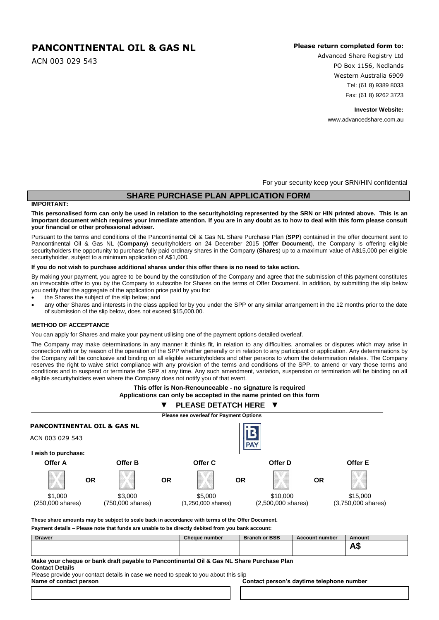#### **PANCONTINENTAL OIL & GAS NL**

ACN 003 029 543

#### **Please return completed form to:**

Advanced Share Registry Ltd PO Box 1156, Nedlands Western Australia 6909 Tel: (61 8) 9389 8033 Fax: (61 8) 9262 3723

**Investor Website:**

www.advancedshare.com.au

For your security keep your SRN/HIN confidential

#### **SHARE PURCHASE PLAN APPLICATION FORM**

#### **IMPORTANT:**

**This personalised form can only be used in relation to the securityholding represented by the SRN or HIN printed above. This is an important document which requires your immediate attention. If you are in any doubt as to how to deal with this form please consult your financial or other professional adviser.**

Pursuant to the terms and conditions of the Pancontinental Oil & Gas NL Share Purchase Plan (**SPP**) contained in the offer document sent to Pancontinental Oil & Gas NL (**Company**) securityholders on 24 December 2015 (**Offer Document**), the Company is offering eligible securityholders the opportunity to purchase fully paid ordinary shares in the Company (**Shares**) up to a maximum value of A\$15,000 per eligible securityholder, subject to a minimum application of A\$1,000.

#### **If you do not wish to purchase additional shares under this offer there is no need to take action.**

By making your payment, you agree to be bound by the constitution of the Company and agree that the submission of this payment constitutes an irrevocable offer to you by the Company to subscribe for Shares on the terms of Offer Document. In addition, by submitting the slip below you certify that the aggregate of the application price paid by you for:

- the Shares the subject of the slip below; and
- any other Shares and interests in the class applied for by you under the SPP or any similar arrangement in the 12 months prior to the date of submission of the slip below, does not exceed \$15,000.00.

#### **METHOD OF ACCEPTANCE**

You can apply for Shares and make your payment utilising one of the payment options detailed overleaf.

The Company may make determinations in any manner it thinks fit, in relation to any difficulties, anomalies or disputes which may arise in connection with or by reason of the operation of the SPP whether generally or in relation to any participant or application. Any determinations by the Company will be conclusive and binding on all eligible securityholders and other persons to whom the determination relates. The Company reserves the right to waive strict compliance with any provision of the terms and conditions of the SPP, to amend or vary those terms and conditions and to suspend or terminate the SPP at any time. Any such amendment, variation, suspension or termination will be binding on all eligible securityholders even where the Company does not notify you of that event.





**These share amounts may be subject to scale back in accordance with terms of the Offer Document.**

**Payment details – Please note that funds are unable to be directly debited from you bank account:**

| <b>Drawer</b> | <b>Cheque number</b> | <b>Branch or BSB</b> | <b>Account number</b> | Amount |
|---------------|----------------------|----------------------|-----------------------|--------|
|               |                      |                      |                       | שר     |

#### **Make your cheque or bank draft payable to Pancontinental Oil & Gas NL Share Purchase Plan Contact Details**

Please provide your contact details in case we need to speak to you about this slip **Name of contact person Contact person's daytime telephone number**